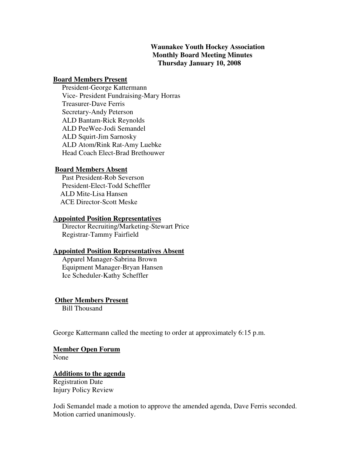## **Waunakee Youth Hockey Association Monthly Board Meeting Minutes Thursday January 10, 2008**

#### **Board Members Present**

 President-George Kattermann Vice- President Fundraising-Mary Horras Treasurer-Dave Ferris Secretary-Andy Peterson ALD Bantam-Rick Reynolds ALD PeeWee-Jodi Semandel ALD Squirt-Jim Sarnosky ALD Atom/Rink Rat-Amy Luebke Head Coach Elect-Brad Brethouwer

#### **Board Members Absent**

 Past President-Rob Severson President-Elect-Todd Scheffler ALD Mite-Lisa Hansen ACE Director-Scott Meske

## **Appointed Position Representatives**

 Director Recruiting/Marketing-Stewart Price Registrar-Tammy Fairfield

#### **Appointed Position Representatives Absent**

 Apparel Manager-Sabrina Brown Equipment Manager-Bryan Hansen Ice Scheduler-Kathy Scheffler

#### **Other Members Present**

Bill Thousand

George Kattermann called the meeting to order at approximately 6:15 p.m.

#### **Member Open Forum**

None

### **Additions to the agenda**

Registration Date Injury Policy Review

Jodi Semandel made a motion to approve the amended agenda, Dave Ferris seconded. Motion carried unanimously.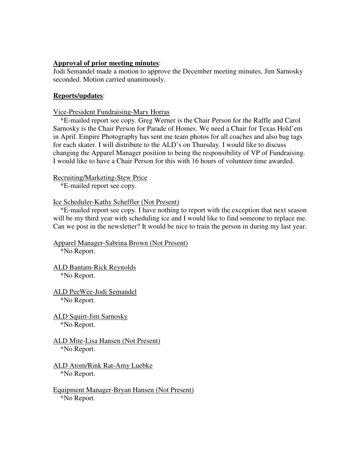### **Approval of prior meeting minutes**:

Jodi Semandel made a motion to approve the December meeting minutes, Jim Sarnosky seconded. Motion carried unanimously.

## **Reports/updates**:

Vice-President Fundraising-Mary Horras

\*E-mailed report see copy. Greg Werner is the Chair Person for the Raffle and Carol Sarnosky is the Chair Person for Parade of Homes. We need a Chair for Texas Hold'em in April. Empire Photography has sent me team photos for all coaches and also bag tags for each skater. I will distribute to the ALD's on Thursday. I would like to discuss changing the Apparel Manager position to being the responsibility of VP of Fundraising. I would like to have a Chair Person for this with 16 hours of volunteer time awarded.

### Recruiting/Marketing-Stew Price

\*E-mailed report see copy.

### Ice Scheduler-Kathy Scheffler (Not Present)

 \*E-mailed report see copy. I have nothing to report with the exception that next season will be my third year with scheduling ice and I would like to find someone to replace me. Can we post in the newsletter? It would be nice to train the person in during my last year.

### Apparel Manager-Sabrina Brown (Not Present) \*No Report.

ALD Bantam-Rick Reynolds

\*No Report.

- ALD PeeWee-Jodi Semandel \*No Report.
- ALD Squirt-Jim Sarnosky \*No Report.
- ALD Mite-Lisa Hansen (Not Present) \*No Report.
- ALD Atom/Rink Rat-Amy Luebke \*No Report.
- Equipment Manager-Bryan Hansen (Not Present) \*No Report.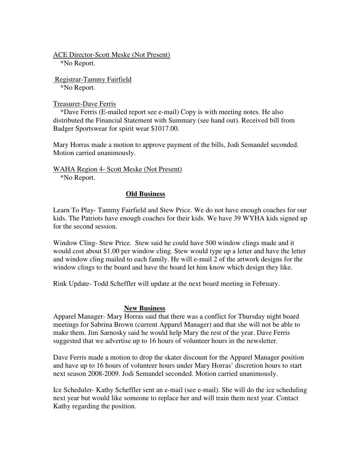ACE Director-Scott Meske (Not Present) \*No Report.

 Registrar-Tammy Fairfield \*No Report.

Treasurer-Dave Ferris

 \*Dave Ferris (E-mailed report see e-mail) Copy is with meeting notes. He also distributed the Financial Statement with Summary (see hand out). Received bill from Badger Sportswear for spirit wear \$1017.00.

Mary Horras made a motion to approve payment of the bills, Jodi Semandel seconded. Motion carried unanimously.

WAHA Region 4- Scott Meske (Not Present) \*No Report.

**Old Business**

Learn To Play- Tammy Fairfield and Stew Price. We do not have enough coaches for our kids. The Patriots have enough coaches for their kids. We have 39 WYHA kids signed up for the second session.

Window Cling- Stew Price. Stew said he could have 500 window clings made and it would cost about \$1.00 per window cling. Stew would type up a letter and have the letter and window cling mailed to each family. He will e-mail 2 of the artwork designs for the window clings to the board and have the board let him know which design they like.

Rink Update- Todd Scheffler will update at the next board meeting in February.

#### **New Business**

Apparel Manager- Mary Horras said that there was a conflict for Thursday night board meetings for Sabrina Brown (current Apparel Manager) and that she will not be able to make them. Jim Sarnosky said he would help Mary the rest of the year. Dave Ferris suggested that we advertise up to 16 hours of volunteer hours in the newsletter.

Dave Ferris made a motion to drop the skater discount for the Apparel Manager position and have up to 16 hours of volunteer hours under Mary Horras' discretion hours to start next season 2008-2009. Jodi Semandel seconded. Motion carried unanimously.

Ice Scheduler- Kathy Scheffler sent an e-mail (see e-mail). She will do the ice scheduling next year but would like someone to replace her and will train them next year. Contact Kathy regarding the position.